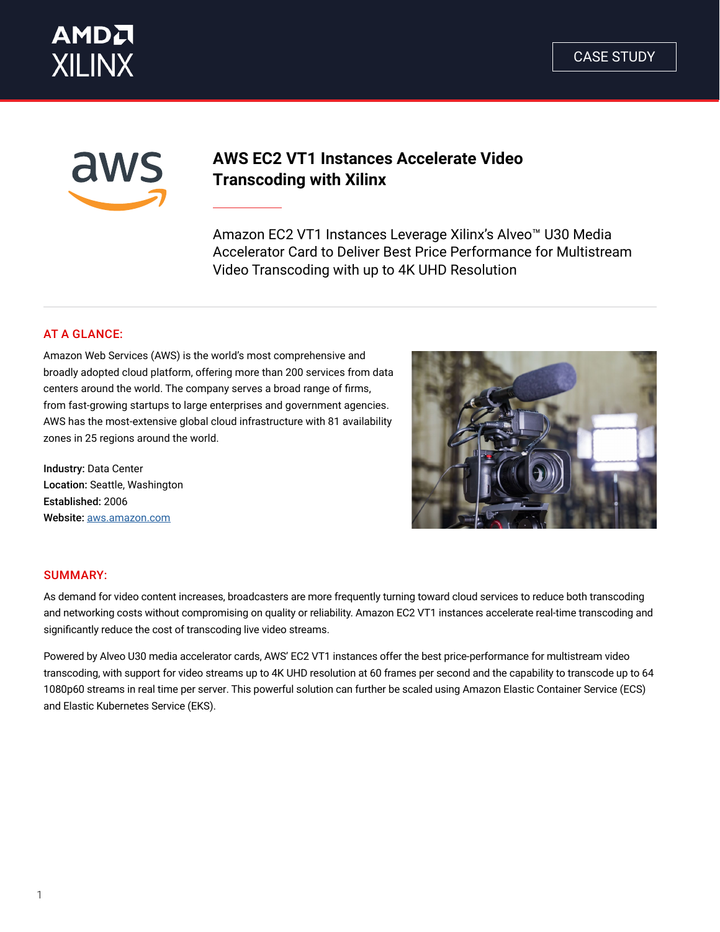



# **AWS EC2 VT1 Instances Accelerate Video Transcoding with Xilinx**

Amazon EC2 VT1 Instances Leverage Xilinx's Alveo™ U30 Media Accelerator Card to Deliver Best Price Performance for Multistream Video Transcoding with up to 4K UHD Resolution

## AT A GLANCE:

Amazon Web Services (AWS) is the world's most comprehensive and broadly adopted cloud platform, offering more than 200 services from data centers around the world. The company serves a broad range of firms, from fast-growing startups to large enterprises and government agencies. AWS has the most-extensive global cloud infrastructure with 81 availability zones in 25 regions around the world.

Industry: Data Center Location: Seattle, Washington Established: 2006 Website: [aws.amazon.com](https://aws.amazon.com/)



#### SUMMARY:

As demand for video content increases, broadcasters are more frequently turning toward cloud services to reduce both transcoding and networking costs without compromising on quality or reliability. Amazon EC2 VT1 instances accelerate real-time transcoding and significantly reduce the cost of transcoding live video streams.

Powered by Alveo U30 media accelerator cards, AWS' EC2 VT1 instances offer the best price-performance for multistream video transcoding, with support for video streams up to 4K UHD resolution at 60 frames per second and the capability to transcode up to 64 1080p60 streams in real time per server. This powerful solution can further be scaled using Amazon Elastic Container Service (ECS) and Elastic Kubernetes Service (EKS).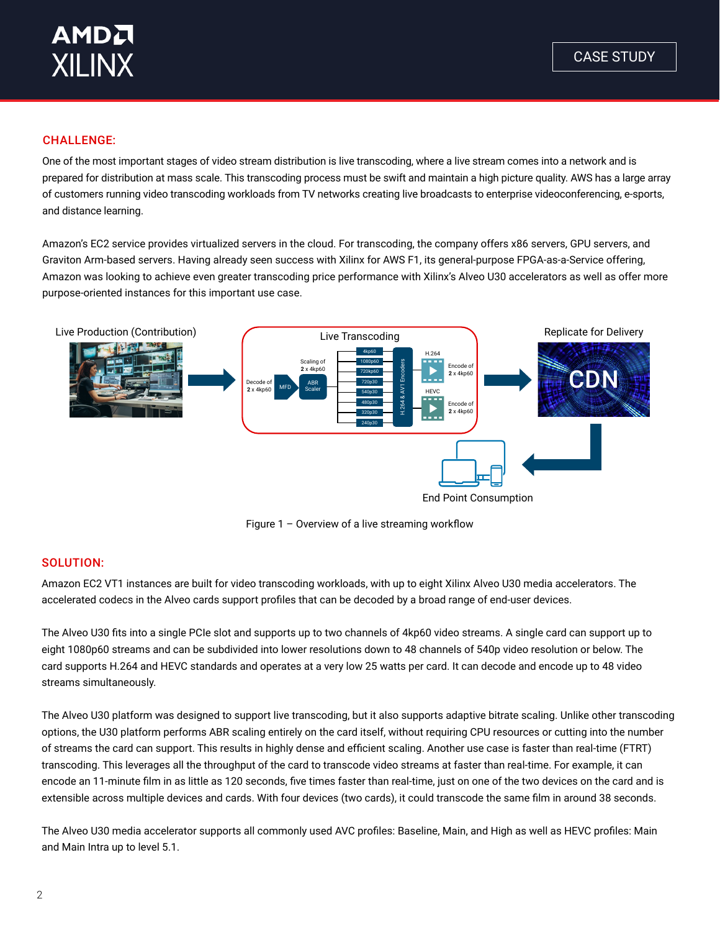

## CHALLENGE:

One of the most important stages of video stream distribution is live transcoding, where a live stream comes into a network and is prepared for distribution at mass scale. This transcoding process must be swift and maintain a high picture quality. AWS has a large array of customers running video transcoding workloads from TV networks creating live broadcasts to enterprise videoconferencing, e-sports, and distance learning.

Amazon's EC2 service provides virtualized servers in the cloud. For transcoding, the company offers x86 servers, GPU servers, and Graviton Arm-based servers. Having already seen success with Xilinx for AWS F1, its general-purpose FPGA-as-a-Service offering, Amazon was looking to achieve even greater transcoding price performance with Xilinx's Alveo U30 accelerators as well as offer more purpose-oriented instances for this important use case.



Figure 1 – Overview of a live streaming workflow

### SOLUTION:

Amazon EC2 VT1 instances are built for video transcoding workloads, with up to eight Xilinx Alveo U30 media accelerators. The accelerated codecs in the Alveo cards support profiles that can be decoded by a broad range of end-user devices.

The Alveo U30 fits into a single PCIe slot and supports up to two channels of 4kp60 video streams. A single card can support up to eight 1080p60 streams and can be subdivided into lower resolutions down to 48 channels of 540p video resolution or below. The card supports H.264 and HEVC standards and operates at a very low 25 watts per card. It can decode and encode up to 48 video streams simultaneously.

The Alveo U30 platform was designed to support live transcoding, but it also supports adaptive bitrate scaling. Unlike other transcoding options, the U30 platform performs ABR scaling entirely on the card itself, without requiring CPU resources or cutting into the number of streams the card can support. This results in highly dense and efficient scaling. Another use case is faster than real-time (FTRT) transcoding. This leverages all the throughput of the card to transcode video streams at faster than real-time. For example, it can encode an 11-minute film in as little as 120 seconds, five times faster than real-time, just on one of the two devices on the card and is extensible across multiple devices and cards. With four devices (two cards), it could transcode the same film in around 38 seconds.

The Alveo U30 media accelerator supports all commonly used AVC profiles: Baseline, Main, and High as well as HEVC profiles: Main and Main Intra up to level 5.1.